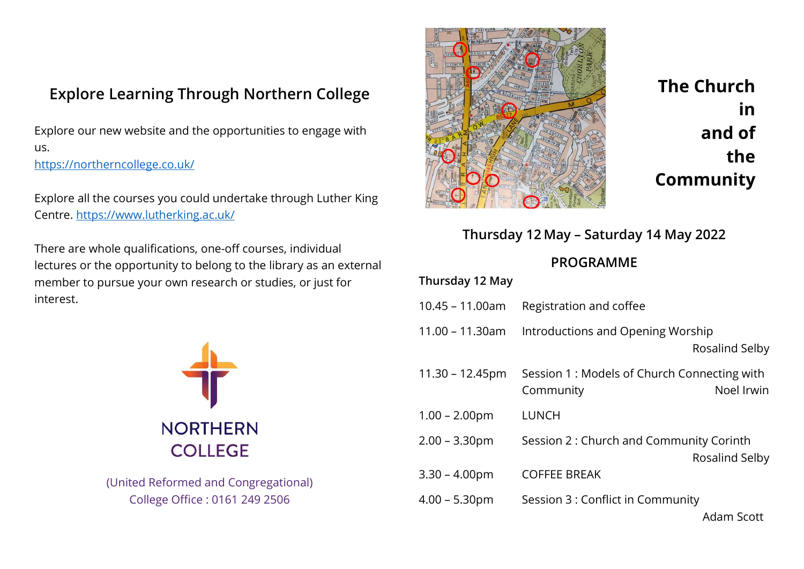## Explore Learning Through Northern College

Explore our new website and the opportunities to engage with us. https://northerncollege.co.uk/

Explore all the courses you could undertake through Luther King Centre. https://www.lutherking.ac.uk/

There are whole qualifications, one-off courses, individual lectures or the opportunity to belong to the library as an external member to pursue your own research or studies, or just for interest.



(United Reformed and Congregational) College Office : 0161 249 2506



The Church in and of the **Community** 

## Thursday 12 May – Saturday 14 May 2022

## PROGRAMME

| Thursday 12 May    |                                                          |                   |
|--------------------|----------------------------------------------------------|-------------------|
| $10.45 - 11.00am$  | Registration and coffee                                  |                   |
| 11.00 – 11.30am    | Introductions and Opening Worship                        | Rosalind Selby    |
| $11.30 - 12.45$ pm | Session 1: Models of Church Connecting with<br>Community | Noel Irwin        |
| $1.00 - 2.00$ pm   | <b>LUNCH</b>                                             |                   |
| $2.00 - 3.30$ pm   | Session 2: Church and Community Corinth                  | Rosalind Selby    |
| $3.30 - 4.00$ pm   | <b>COFFEE BREAK</b>                                      |                   |
| $4.00 - 5.30$ pm   | Session 3 : Conflict in Community                        | <b>Adam Scott</b> |